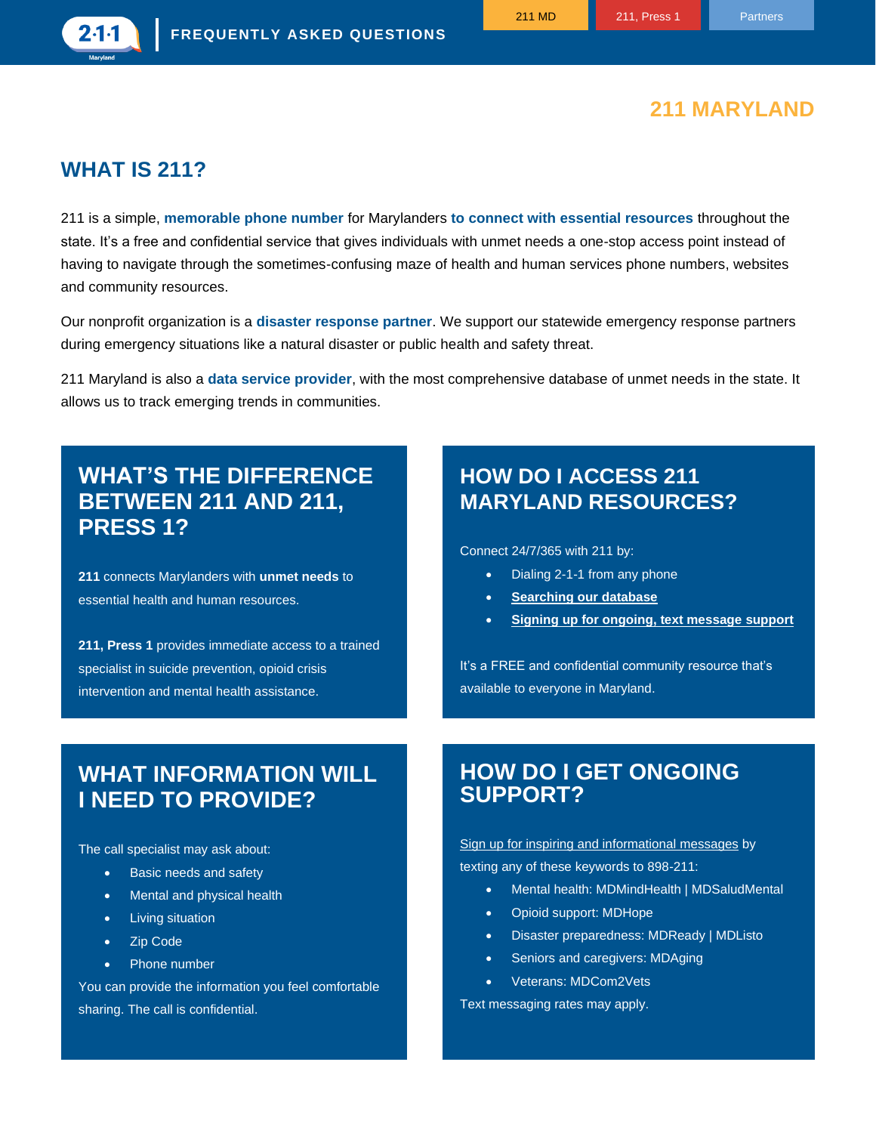### **211 MARYLAND**

### **WHAT IS 211?**

 $2-1-1$ 

211 is a simple, **memorable phone number** for Marylanders **to connect with essential resources** throughout the state. It's a free and confidential service that gives individuals with unmet needs a one-stop access point instead of having to navigate through the sometimes-confusing maze of health and human services phone numbers, websites and community resources.

Our nonprofit organization is a **disaster response partner**. We support our statewide emergency response partners during emergency situations like a natural disaster or public health and safety threat.

211 Maryland is also a **data service provider**, with the most comprehensive database of unmet needs in the state. It allows us to track emerging trends in communities.

### **WHAT'S THE DIFFERENCE BETWEEN 211 AND 211, PRESS 1?**

**211** connects Marylanders with **unmet needs** to essential health and human resources.

**211, Press 1** provides immediate access to a trained specialist in suicide prevention, opioid crisis intervention and mental health assistance.

### **HOW DO I ACCESS 211 MARYLAND RESOURCES?**

Connect 24/7/365 with 211 by:

- Dialing 2-1-1 from any phone
- **[Searching our database](https://211md.org/)**
- **[Signing up for ongoing, text message support](https://211md.org/text-messages)**

It's a FREE and confidential community resource that's available to everyone in Maryland.

### **WHAT INFORMATION WILL I NEED TO PROVIDE?**

The call specialist may ask about:

- Basic needs and safety
- Mental and physical health
- Living situation
- Zip Code
- Phone number

You can provide the information you feel comfortable sharing. The call is confidential.

#### **HOW DO I GET ONGOING SUPPORT?**

[Sign up for inspiring and informational messages](https://211md.org/text-messages) by texting any of these keywords to 898-211:

- Mental health: MDMindHealth | MDSaludMental
- Opioid support: MDHope
- Disaster preparedness: MDReady | MDListo
- Seniors and caregivers: MDAging
- Veterans: MDCom2Vets

Text messaging rates may apply.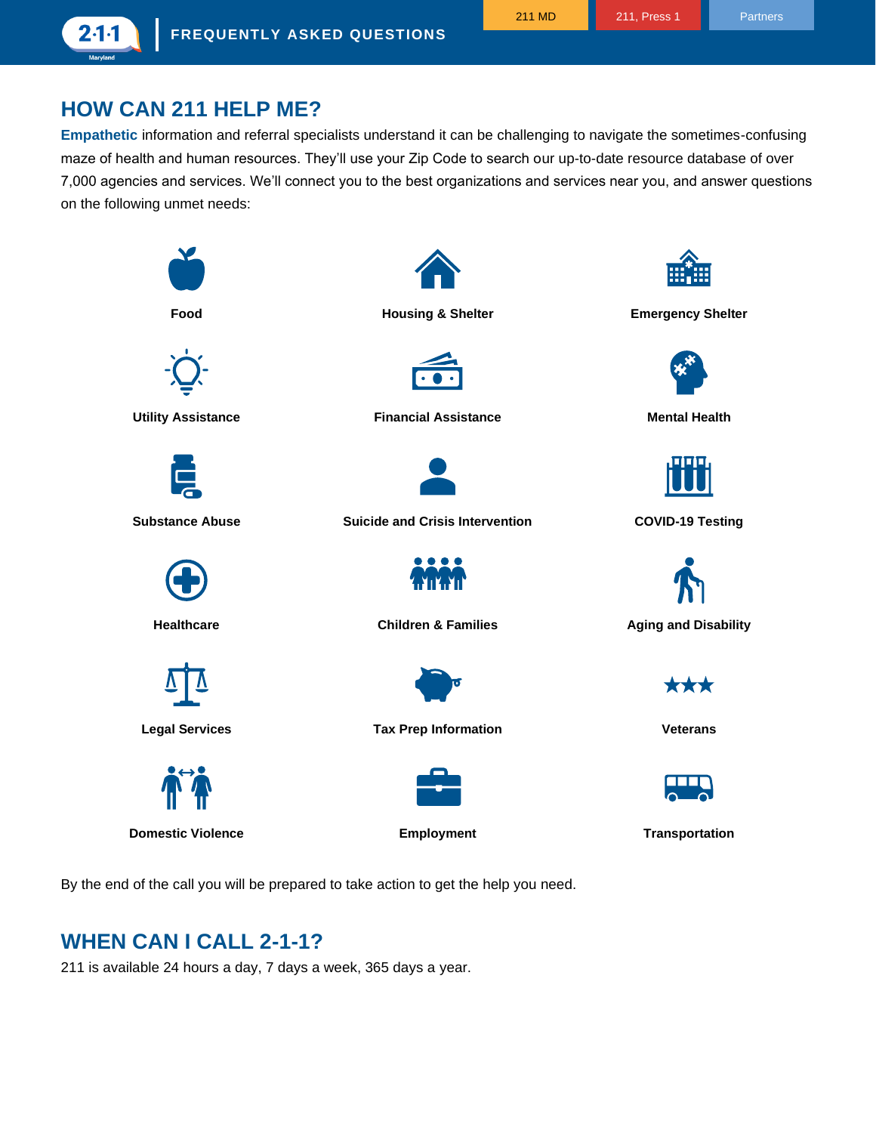### **HOW CAN 211 HELP ME?**

2 1 1

**Empathetic** information and referral specialists understand it can be challenging to navigate the sometimes-confusing maze of health and human resources. They'll use your Zip Code to search our up-to-date resource database of over 7,000 agencies and services. We'll connect you to the best organizations and services near you, and answer questions on the following unmet needs:



By the end of the call you will be prepared to take action to get the help you need.

### **WHEN CAN I CALL 2-1-1?**

211 is available 24 hours a day, 7 days a week, 365 days a year.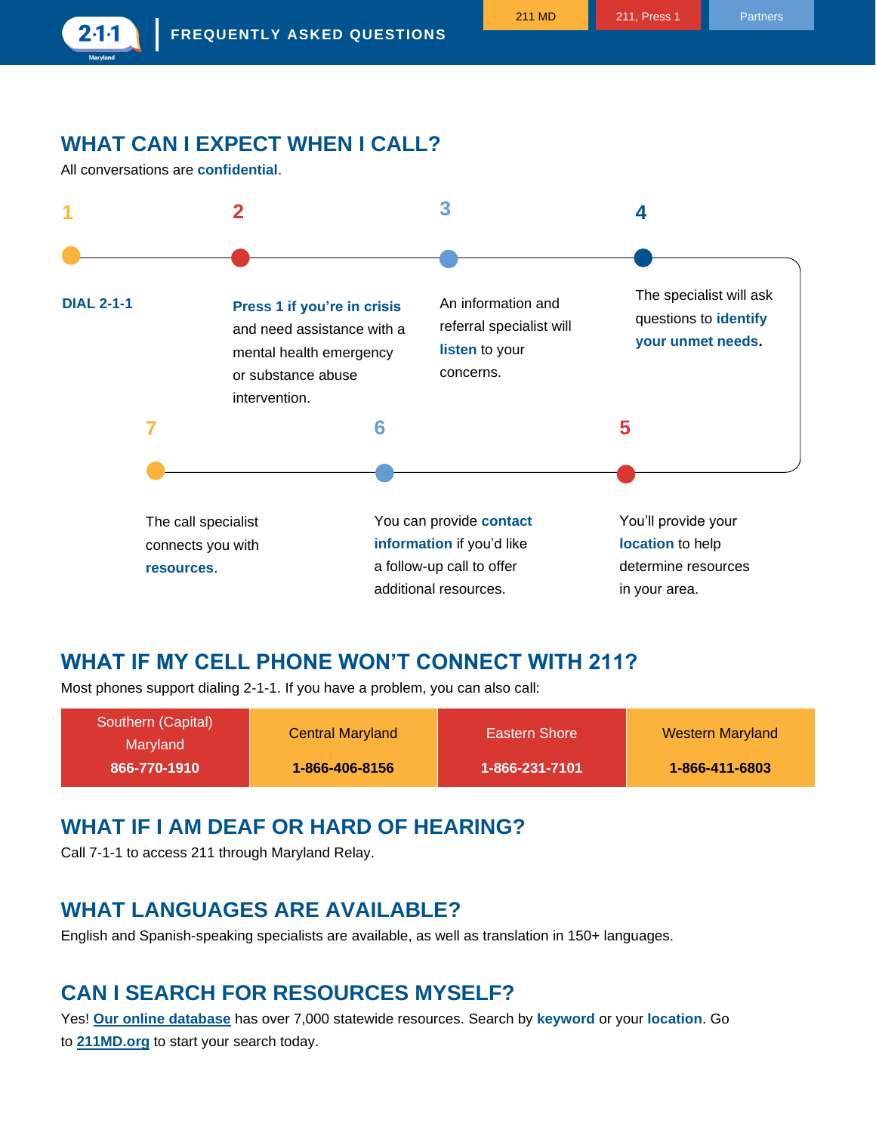## **WHAT CAN I EXPECT WHEN I CALL?**

All conversations are **confidential**.

 $2 - 1 - 1$ 



#### **WHAT IF MY CELL PHONE WON'T CONNECT WITH 211?**

Most phones support dialing 2-1-1. If you have a problem, you can also call:

| Southern (Capital)<br>Marvland | <b>Central Maryland</b> | Eastern Shore  | <b>Western Maryland</b> |
|--------------------------------|-------------------------|----------------|-------------------------|
| 866-770-1910                   | 1-866-406-8156          | 1-866-231-7101 | 1-866-411-6803          |

### **WHAT IF I AM DEAF OR HARD OF HEARING?**

Call 7-1-1 to access 211 through Maryland Relay.

#### **WHAT LANGUAGES ARE AVAILABLE?**

English and Spanish-speaking specialists are available, as well as translation in 150+ languages.

### **CAN I SEARCH FOR RESOURCES MYSELF?**

Yes! **[Our online database](https://211md.org/)** has over 7,000 statewide resources. Search by **keyword** or your **location**. Go to **[211MD.org](https://211md.org/)** to start your search today.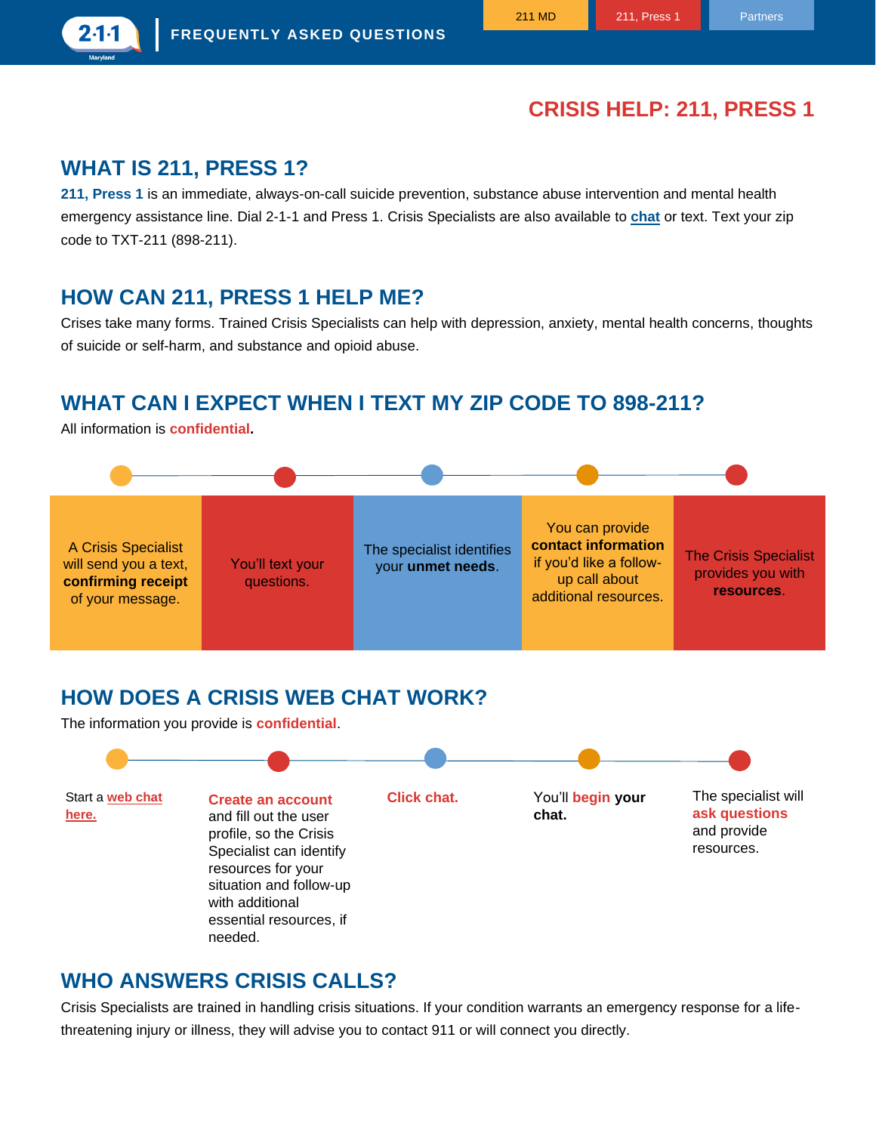### **CRISIS HELP: 211, PRESS 1**

### **WHAT IS 211, PRESS 1?**

 $2·1·1$ 

**[211, Press 1](https://pressone.211md.org/)** is an immediate, always-on-call suicide prevention, substance abuse intervention and mental health emergency assistance line. Dial 2-1-1 and Press 1. Crisis Specialists are also available to **[chat](https://211md.org/chat-with-us)** or text. Text your zip code to TXT-211 (898-211).

### **HOW CAN 211, PRESS 1 HELP ME?**

Crises take many forms. Trained Crisis Specialists can help with depression, anxiety, mental health concerns, thoughts of suicide or self-harm, and substance and opioid abuse.

## **WHAT CAN I EXPECT WHEN I TEXT MY ZIP CODE TO 898-211?**

All information is **confidential.**



## **HOW DOES A CRISIS WEB CHAT WORK?**

The information you provide is **confidential**.



#### **WHO ANSWERS CRISIS CALLS?**

Crisis Specialists are trained in handling crisis situations. If your condition warrants an emergency response for a lifethreatening injury or illness, they will advise you to contact 911 or will connect you directly.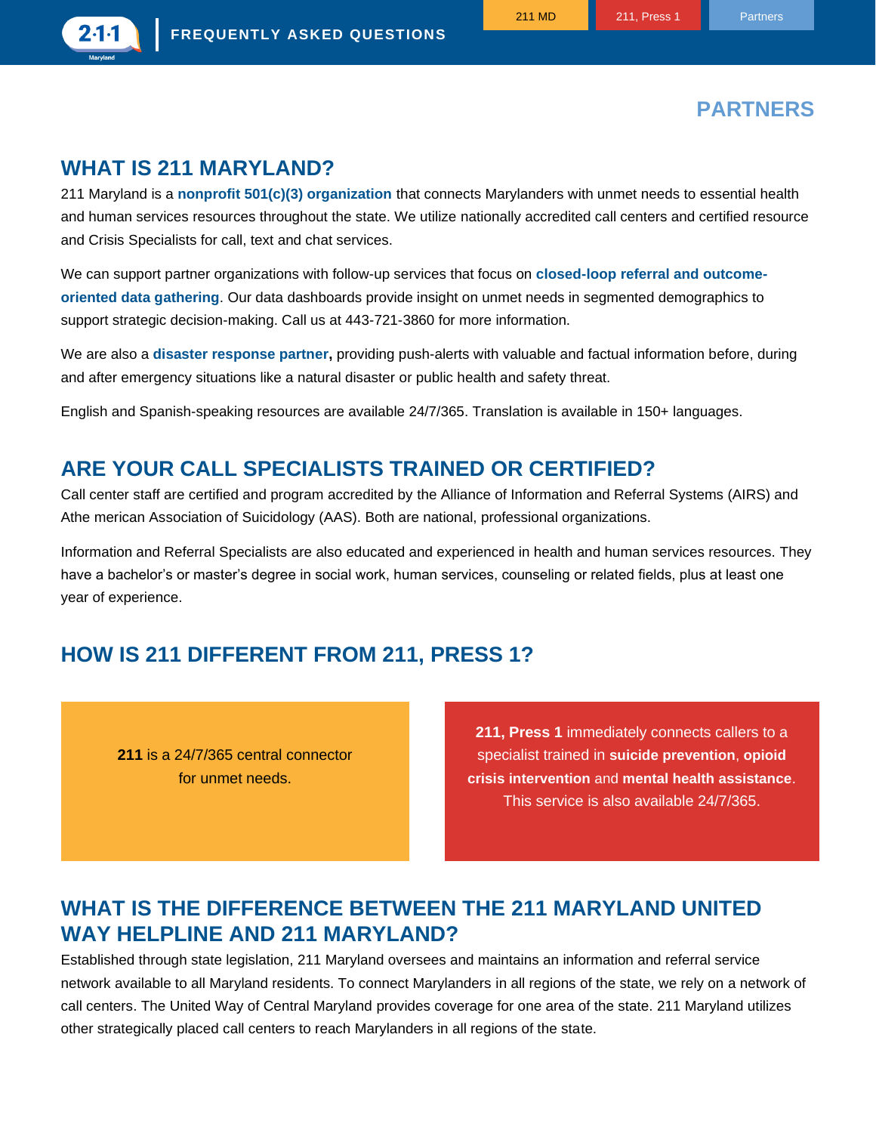

## **PARTNERS**

## **WHAT IS 211 MARYLAND?**

211 Maryland is a **nonprofit 501(c)(3) organization** that connects Marylanders with unmet needs to essential health and human services resources throughout the state. We utilize nationally accredited call centers and certified resource and Crisis Specialists for call, text and chat services.

We can support partner organizations with follow-up services that focus on **closed-loop referral and outcomeoriented data gathering**. Our data dashboards provide insight on unmet needs in segmented demographics to support strategic decision-making. Call us at 443-721-3860 for more information.

We are also a **disaster response partner,** providing push-alerts with valuable and factual information before, during and after emergency situations like a natural disaster or public health and safety threat.

English and Spanish-speaking resources are available 24/7/365. Translation is available in 150+ languages.

#### **ARE YOUR CALL SPECIALISTS TRAINED OR CERTIFIED?**

Call center staff are certified and program accredited by the Alliance of Information and Referral Systems (AIRS) and Athe merican Association of Suicidology (AAS). Both are national, professional organizations.

Information and Referral Specialists are also educated and experienced in health and human services resources. They have a bachelor's or master's degree in social work, human services, counseling or related fields, plus at least one year of experience.

### **HOW IS 211 DIFFERENT FROM 211, PRESS 1?**

**211** is a 24/7/365 central connector for unmet needs.

**211, Press 1** immediately connects callers to a specialist trained in **suicide prevention**, **opioid crisis intervention** and **mental health assistance**. This service is also available 24/7/365.

### **WHAT IS THE DIFFERENCE BETWEEN THE 211 MARYLAND UNITED WAY HELPLINE AND 211 MARYLAND?**

Established through state legislation, 211 Maryland oversees and maintains an information and referral service network available to all Maryland residents. To connect Marylanders in all regions of the state, we rely on a network of call centers. The United Way of Central Maryland provides coverage for one area of the state. 211 Maryland utilizes other strategically placed call centers to reach Marylanders in all regions of the state.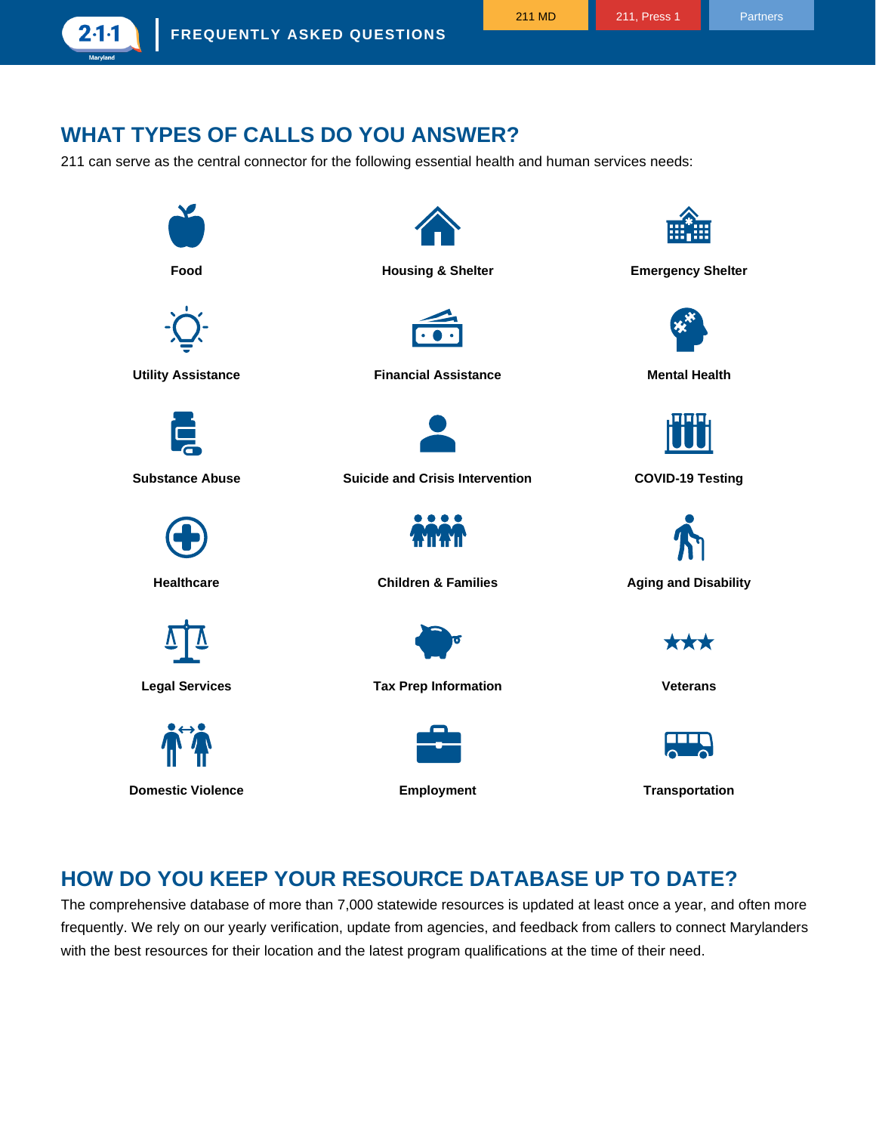2 1 1

## **WHAT TYPES OF CALLS DO YOU ANSWER?**

211 can serve as the central connector for the following essential health and human services needs:



### **HOW DO YOU KEEP YOUR RESOURCE DATABASE UP TO DATE?**

The comprehensive database of more than 7,000 statewide resources is updated at least once a year, and often more frequently. We rely on our yearly verification, update from agencies, and feedback from callers to connect Marylanders with the best resources for their location and the latest program qualifications at the time of their need.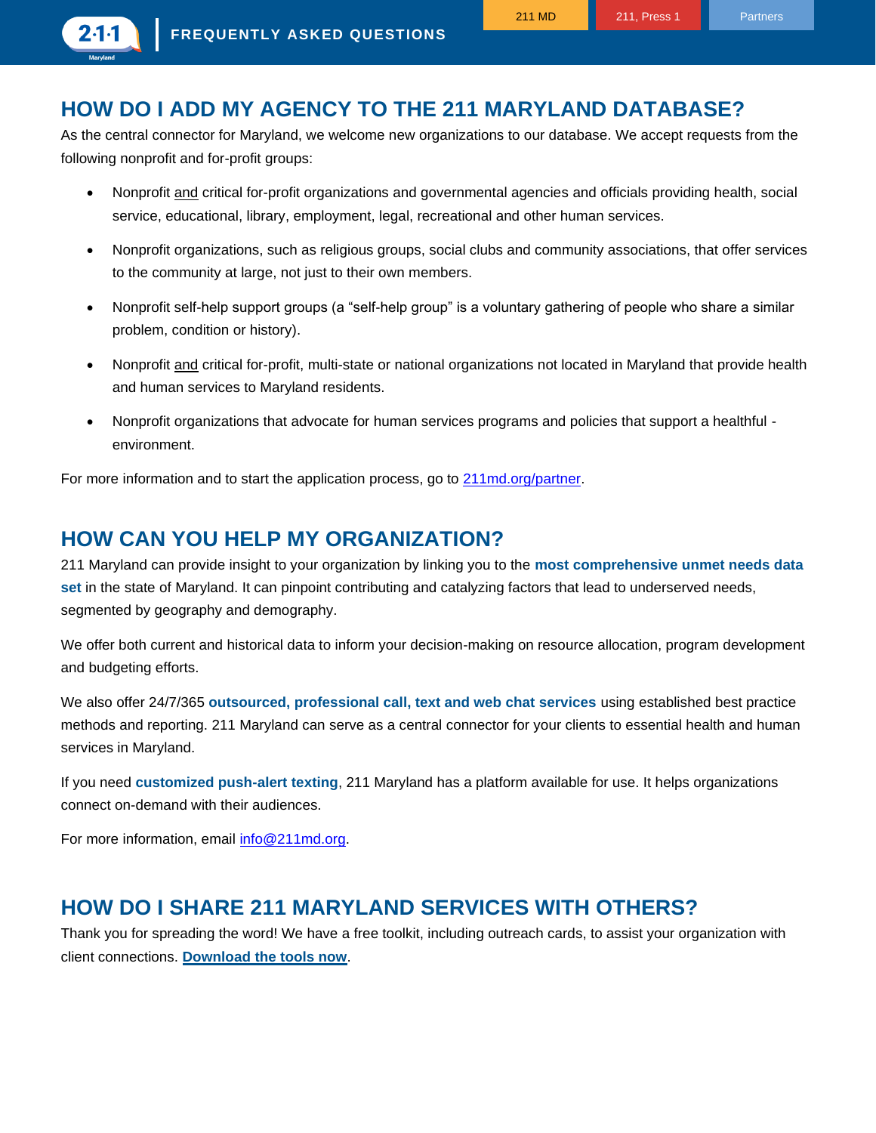## **HOW DO I ADD MY AGENCY TO THE 211 MARYLAND DATABASE?**

As the central connector for Maryland, we welcome new organizations to our database. We accept requests from the following nonprofit and for-profit groups:

- Nonprofit and critical for-profit organizations and governmental agencies and officials providing health, social service, educational, library, employment, legal, recreational and other human services.
- Nonprofit organizations, such as religious groups, social clubs and community associations, that offer services to the community at large, not just to their own members.
- Nonprofit self-help support groups (a "self-help group" is a voluntary gathering of people who share a similar problem, condition or history).
- Nonprofit and critical for-profit, multi-state or national organizations not located in Maryland that provide health and human services to Maryland residents.
- Nonprofit organizations that advocate for human services programs and policies that support a healthful environment.

For more information and to start the application process, go to [211md.org/partner.](https://211md.org/partner)

### **HOW CAN YOU HELP MY ORGANIZATION?**

211 Maryland can provide insight to your organization by linking you to the **most comprehensive unmet needs data set** in the state of Maryland. It can pinpoint contributing and catalyzing factors that lead to underserved needs, segmented by geography and demography.

We offer both current and historical data to inform your decision-making on resource allocation, program development and budgeting efforts.

We also offer 24/7/365 **outsourced, professional call, text and web chat services** using established best practice methods and reporting. 211 Maryland can serve as a central connector for your clients to essential health and human services in Maryland.

If you need **customized push-alert texting**, 211 Maryland has a platform available for use. It helps organizations connect on-demand with their audiences.

For more information, email [info@211md.org.](mailto:info@211md.org)

### **HOW DO I SHARE 211 MARYLAND SERVICES WITH OTHERS?**

Thank you for spreading the word! We have a free toolkit, including outreach cards, to assist your organization with client connections. **[Download the tools now](https://211md.org/toolkit)**.